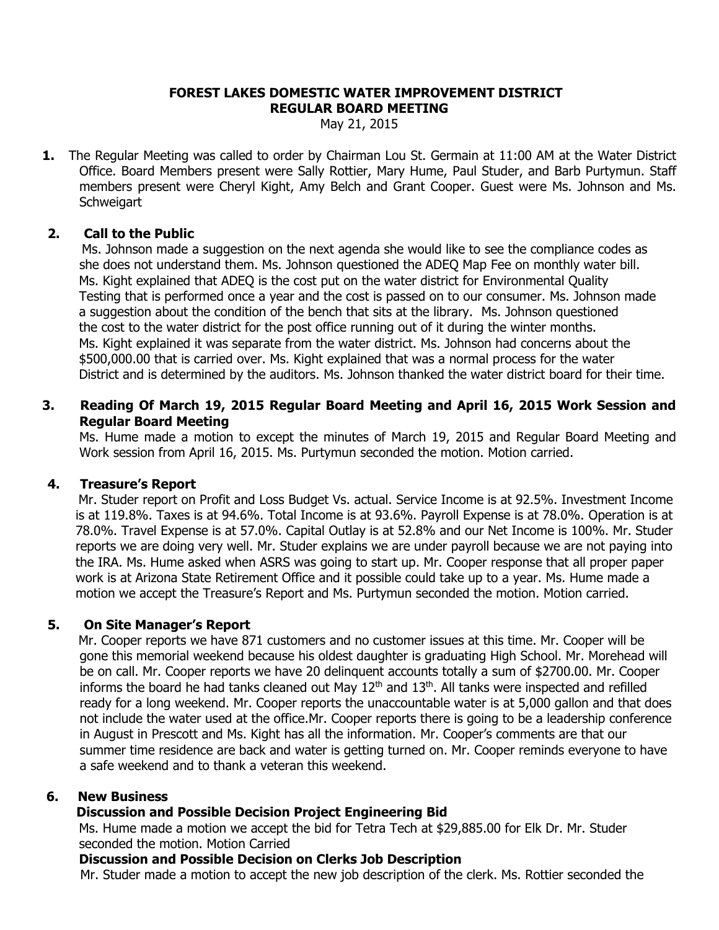#### **FOREST LAKES DOMESTIC WATER IMPROVEMENT DISTRICT REGULAR BOARD MEETING**

May 21, 2015

**1.** The Regular Meeting was called to order by Chairman Lou St. Germain at 11:00 AM at the Water District Office. Board Members present were Sally Rottier, Mary Hume, Paul Studer, and Barb Purtymun. Staff members present were Cheryl Kight, Amy Belch and Grant Cooper. Guest were Ms. Johnson and Ms. **Schweigart** 

### **2. Call to the Public**

Ms. Johnson made a suggestion on the next agenda she would like to see the compliance codes as she does not understand them. Ms. Johnson questioned the ADEQ Map Fee on monthly water bill. Ms. Kight explained that ADEQ is the cost put on the water district for Environmental Quality Testing that is performed once a year and the cost is passed on to our consumer. Ms. Johnson made a suggestion about the condition of the bench that sits at the library. Ms. Johnson questioned the cost to the water district for the post office running out of it during the winter months. Ms. Kight explained it was separate from the water district. Ms. Johnson had concerns about the \$500,000.00 that is carried over. Ms. Kight explained that was a normal process for the water District and is determined by the auditors. Ms. Johnson thanked the water district board for their time.

# **3. Reading Of March 19, 2015 Regular Board Meeting and April 16, 2015 Work Session and Regular Board Meeting**

Ms. Hume made a motion to except the minutes of March 19, 2015 and Regular Board Meeting and Work session from April 16, 2015. Ms. Purtymun seconded the motion. Motion carried.

# **4. Treasure's Report**

Mr. Studer report on Profit and Loss Budget Vs. actual. Service Income is at 92.5%. Investment Income is at 119.8%. Taxes is at 94.6%. Total Income is at 93.6%. Payroll Expense is at 78.0%. Operation is at 78.0%. Travel Expense is at 57.0%. Capital Outlay is at 52.8% and our Net Income is 100%. Mr. Studer reports we are doing very well. Mr. Studer explains we are under payroll because we are not paying into the IRA. Ms. Hume asked when ASRS was going to start up. Mr. Cooper response that all proper paper work is at Arizona State Retirement Office and it possible could take up to a year. Ms. Hume made a motion we accept the Treasure's Report and Ms. Purtymun seconded the motion. Motion carried.

# **5. On Site Manager's Report**

Mr. Cooper reports we have 871 customers and no customer issues at this time. Mr. Cooper will be gone this memorial weekend because his oldest daughter is graduating High School. Mr. Morehead will be on call. Mr. Cooper reports we have 20 delinquent accounts totally a sum of \$2700.00. Mr. Cooper informs the board he had tanks cleaned out May  $12<sup>th</sup>$  and  $13<sup>th</sup>$ . All tanks were inspected and refilled ready for a long weekend. Mr. Cooper reports the unaccountable water is at 5,000 gallon and that does not include the water used at the office.Mr. Cooper reports there is going to be a leadership conference in August in Prescott and Ms. Kight has all the information. Mr. Cooper's comments are that our summer time residence are back and water is getting turned on. Mr. Cooper reminds everyone to have a safe weekend and to thank a veteran this weekend.

#### **6. New Business**

# **Discussion and Possible Decision Project Engineering Bid**

 Ms. Hume made a motion we accept the bid for Tetra Tech at \$29,885.00 for Elk Dr. Mr. Studer seconded the motion. Motion Carried

#### **Discussion and Possible Decision on Clerks Job Description**

Mr. Studer made a motion to accept the new job description of the clerk. Ms. Rottier seconded the